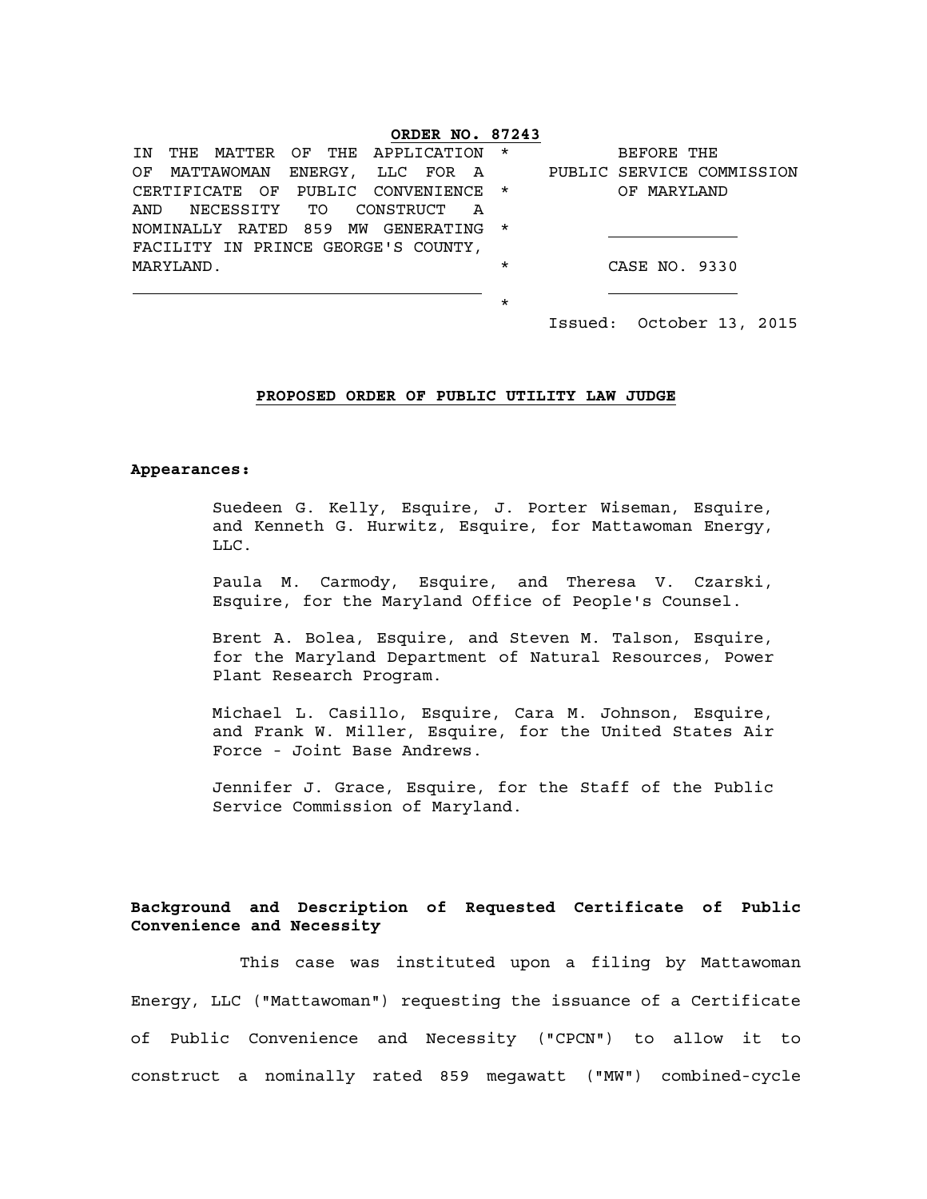## **ORDER NO. 87243**

|                                     | IN THE MATTER OF THE APPLICATION *  |  |  |  |  |  |  |             | BEFORE THE    |                                                           |
|-------------------------------------|-------------------------------------|--|--|--|--|--|--|-------------|---------------|-----------------------------------------------------------|
|                                     |                                     |  |  |  |  |  |  |             |               | OF MATTAWOMAN ENERGY, LLC FOR A PUBLIC SERVICE COMMISSION |
| CERTIFICATE OF PUBLIC CONVENIENCE * |                                     |  |  |  |  |  |  | OF MARYLAND |               |                                                           |
|                                     | AND NECESSITY TO CONSTRUCT A        |  |  |  |  |  |  |             |               |                                                           |
|                                     | NOMINALLY RATED 859 MW GENERATING * |  |  |  |  |  |  |             |               |                                                           |
| FACILITY IN PRINCE GEORGE'S COUNTY, |                                     |  |  |  |  |  |  |             |               |                                                           |
| MARYLAND.                           |                                     |  |  |  |  |  |  | $\star$     | CASE NO. 9330 |                                                           |
|                                     |                                     |  |  |  |  |  |  |             |               |                                                           |
|                                     |                                     |  |  |  |  |  |  | *           |               |                                                           |

Issued: October 13, 2015

#### **PROPOSED ORDER OF PUBLIC UTILITY LAW JUDGE**

#### **Appearances:**

Suedeen G. Kelly, Esquire, J. Porter Wiseman, Esquire, and Kenneth G. Hurwitz, Esquire, for Mattawoman Energy, LLC.

Paula M. Carmody, Esquire, and Theresa V. Czarski, Esquire, for the Maryland Office of People's Counsel.

Brent A. Bolea, Esquire, and Steven M. Talson, Esquire, for the Maryland Department of Natural Resources, Power Plant Research Program.

Michael L. Casillo, Esquire, Cara M. Johnson, Esquire, and Frank W. Miller, Esquire, for the United States Air Force - Joint Base Andrews.

Jennifer J. Grace, Esquire, for the Staff of the Public Service Commission of Maryland.

# **Background and Description of Requested Certificate of Public Convenience and Necessity**

This case was instituted upon a filing by Mattawoman Energy, LLC ("Mattawoman") requesting the issuance of a Certificate of Public Convenience and Necessity ("CPCN") to allow it to construct a nominally rated 859 megawatt ("MW") combined-cycle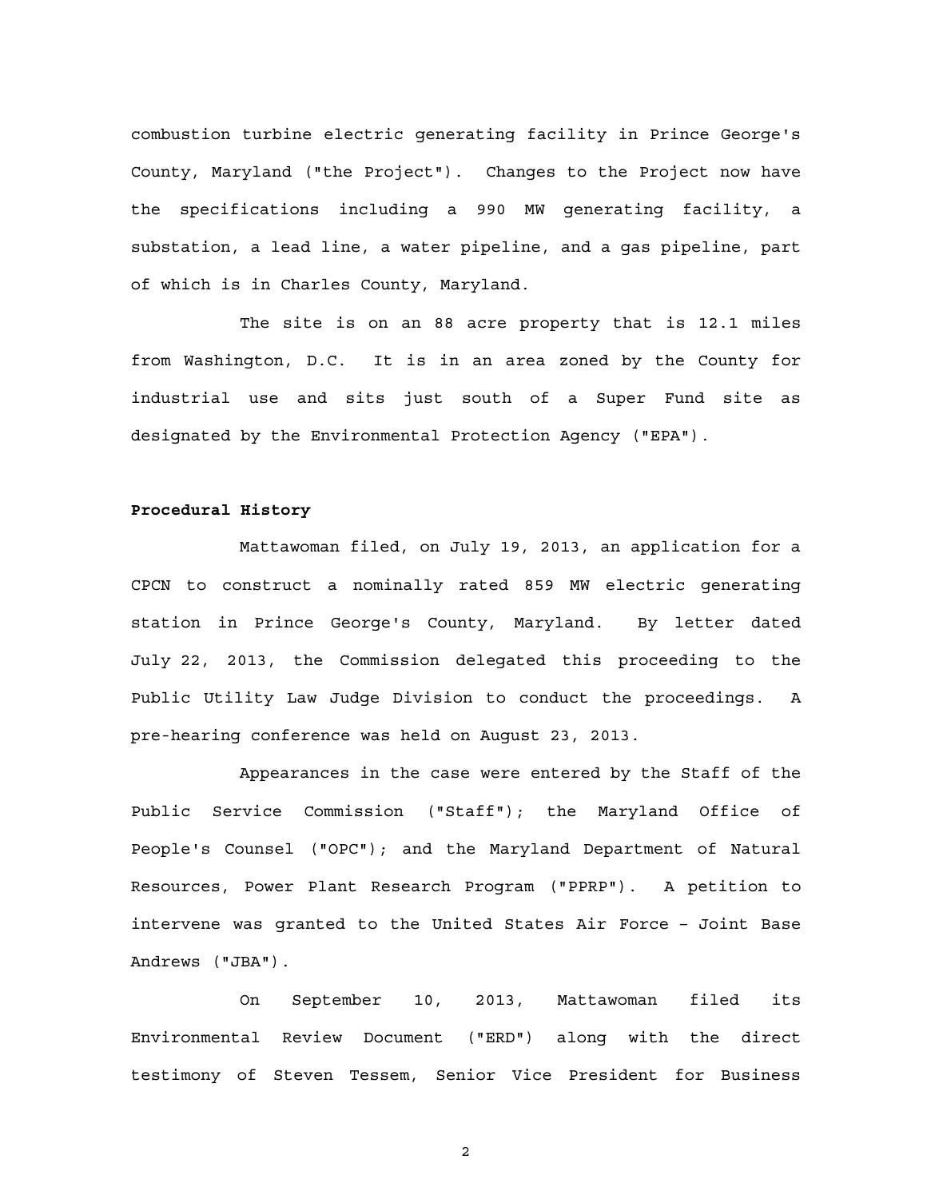combustion turbine electric generating facility in Prince George's County, Maryland ("the Project"). Changes to the Project now have the specifications including a 990 MW generating facility, a substation, a lead line, a water pipeline, and a gas pipeline, part of which is in Charles County, Maryland.

The site is on an 88 acre property that is 12.1 miles from Washington, D.C. It is in an area zoned by the County for industrial use and sits just south of a Super Fund site as designated by the Environmental Protection Agency ("EPA").

#### **Procedural History**

Mattawoman filed, on July 19, 2013, an application for a CPCN to construct a nominally rated 859 MW electric generating station in Prince George's County, Maryland. By letter dated July 22, 2013, the Commission delegated this proceeding to the Public Utility Law Judge Division to conduct the proceedings. A pre-hearing conference was held on August 23, 2013.

Appearances in the case were entered by the Staff of the Public Service Commission ("Staff"); the Maryland Office of People's Counsel ("OPC"); and the Maryland Department of Natural Resources, Power Plant Research Program ("PPRP"). A petition to intervene was granted to the United States Air Force – Joint Base Andrews ("JBA").

On September 10, 2013, Mattawoman filed its Environmental Review Document ("ERD") along with the direct testimony of Steven Tessem, Senior Vice President for Business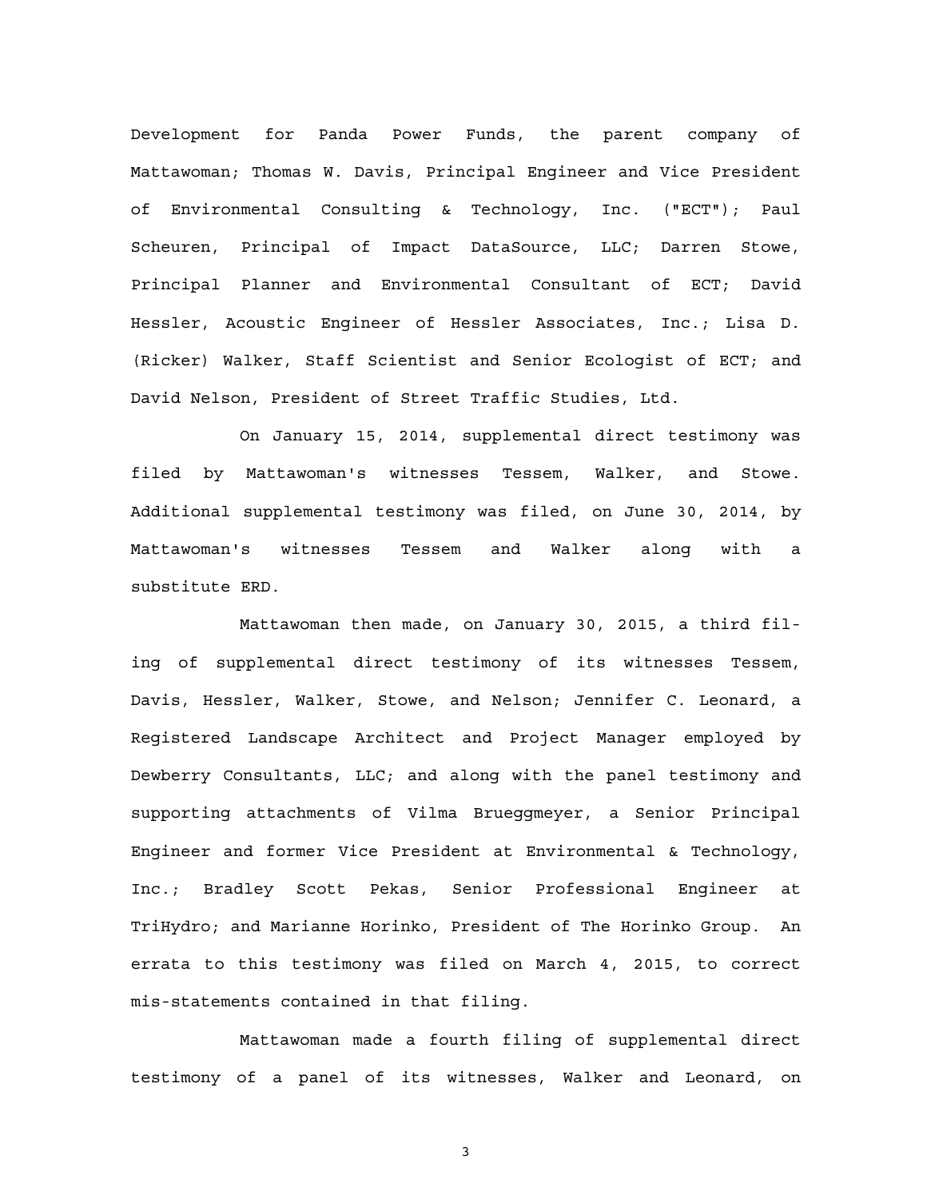Development for Panda Power Funds, the parent company of Mattawoman; Thomas W. Davis, Principal Engineer and Vice President of Environmental Consulting & Technology, Inc. ("ECT"); Paul Scheuren, Principal of Impact DataSource, LLC; Darren Stowe, Principal Planner and Environmental Consultant of ECT; David Hessler, Acoustic Engineer of Hessler Associates, Inc.; Lisa D. (Ricker) Walker, Staff Scientist and Senior Ecologist of ECT; and David Nelson, President of Street Traffic Studies, Ltd.

On January 15, 2014, supplemental direct testimony was filed by Mattawoman's witnesses Tessem, Walker, and Stowe. Additional supplemental testimony was filed, on June 30, 2014, by Mattawoman's witnesses Tessem and Walker along with a substitute ERD.

Mattawoman then made, on January 30, 2015, a third filing of supplemental direct testimony of its witnesses Tessem, Davis, Hessler, Walker, Stowe, and Nelson; Jennifer C. Leonard, a Registered Landscape Architect and Project Manager employed by Dewberry Consultants, LLC; and along with the panel testimony and supporting attachments of Vilma Brueggmeyer, a Senior Principal Engineer and former Vice President at Environmental & Technology, Inc.; Bradley Scott Pekas, Senior Professional Engineer at TriHydro; and Marianne Horinko, President of The Horinko Group. An errata to this testimony was filed on March 4, 2015, to correct mis-statements contained in that filing.

Mattawoman made a fourth filing of supplemental direct testimony of a panel of its witnesses, Walker and Leonard, on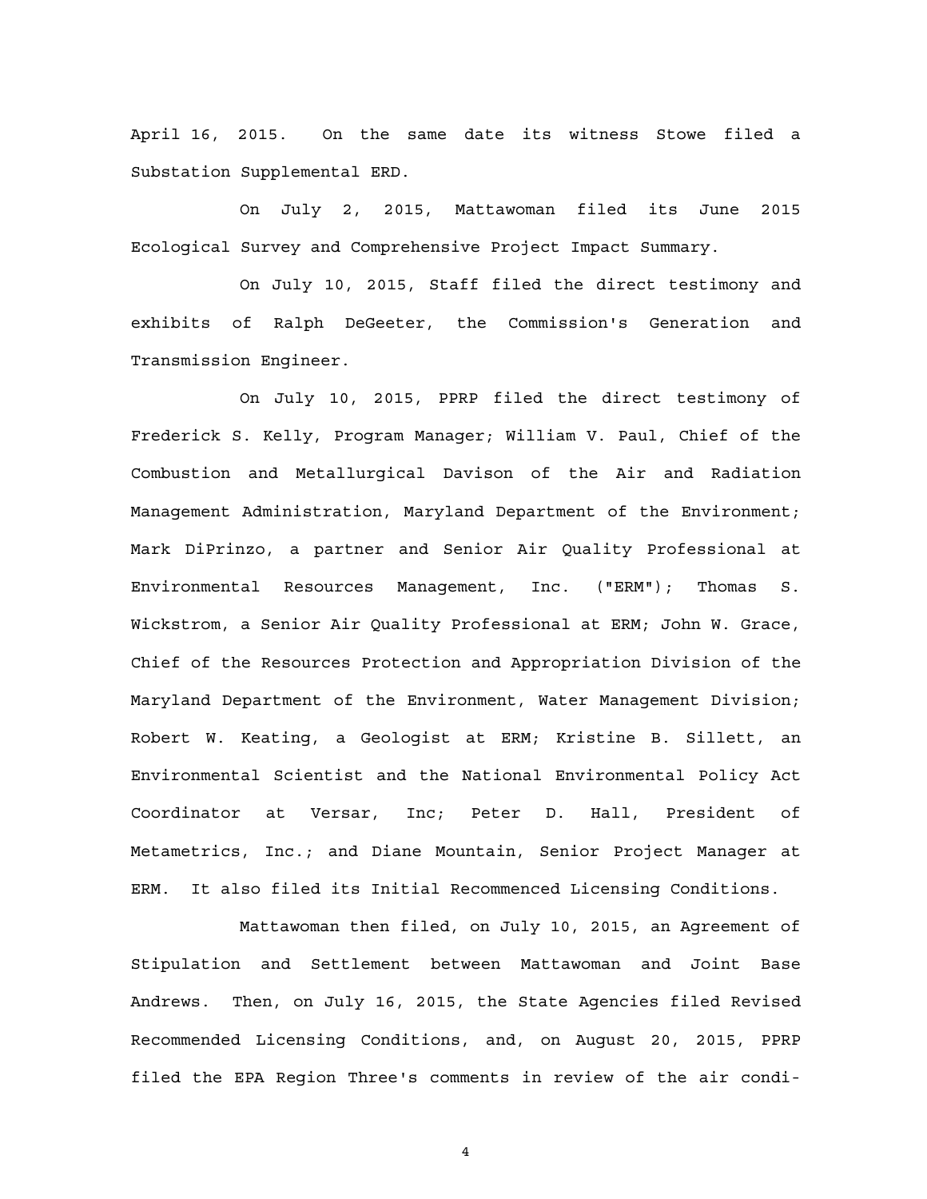April 16, 2015. On the same date its witness Stowe filed a Substation Supplemental ERD.

On July 2, 2015, Mattawoman filed its June 2015 Ecological Survey and Comprehensive Project Impact Summary.

On July 10, 2015, Staff filed the direct testimony and exhibits of Ralph DeGeeter, the Commission's Generation and Transmission Engineer.

On July 10, 2015, PPRP filed the direct testimony of Frederick S. Kelly, Program Manager; William V. Paul, Chief of the Combustion and Metallurgical Davison of the Air and Radiation Management Administration, Maryland Department of the Environment; Mark DiPrinzo, a partner and Senior Air Quality Professional at Environmental Resources Management, Inc. ("ERM"); Thomas S. Wickstrom, a Senior Air Quality Professional at ERM; John W. Grace, Chief of the Resources Protection and Appropriation Division of the Maryland Department of the Environment, Water Management Division; Robert W. Keating, a Geologist at ERM; Kristine B. Sillett, an Environmental Scientist and the National Environmental Policy Act Coordinator at Versar, Inc; Peter D. Hall, President of Metametrics, Inc.; and Diane Mountain, Senior Project Manager at ERM. It also filed its Initial Recommenced Licensing Conditions.

Mattawoman then filed, on July 10, 2015, an Agreement of Stipulation and Settlement between Mattawoman and Joint Base Andrews. Then, on July 16, 2015, the State Agencies filed Revised Recommended Licensing Conditions, and, on August 20, 2015, PPRP filed the EPA Region Three's comments in review of the air condi-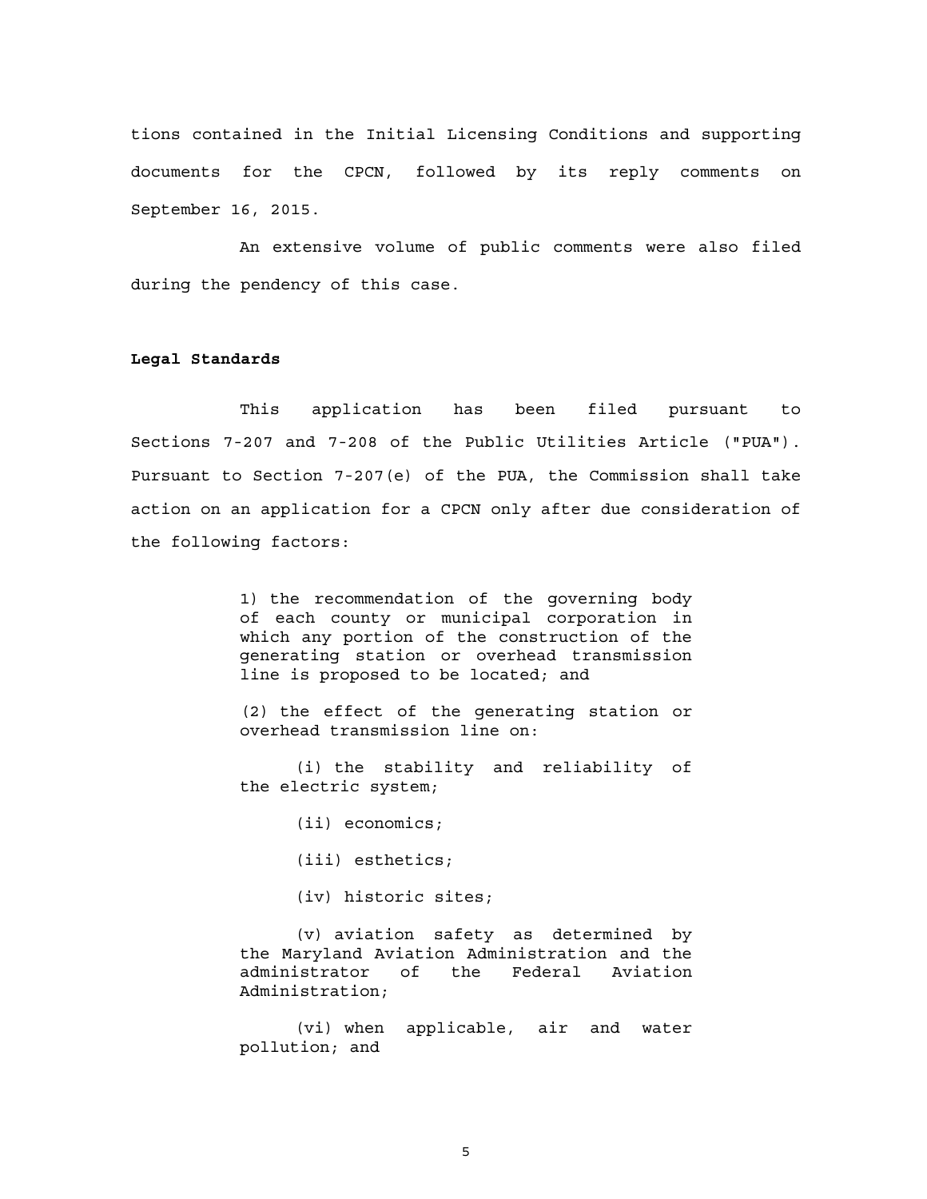tions contained in the Initial Licensing Conditions and supporting documents for the CPCN, followed by its reply comments on September 16, 2015.

An extensive volume of public comments were also filed during the pendency of this case.

### **Legal Standards**

This application has been filed pursuant to Sections 7-207 and 7-208 of the Public Utilities Article ("PUA"). Pursuant to Section 7-207(e) of the PUA, the Commission shall take action on an application for a CPCN only after due consideration of the following factors:

> 1) the recommendation of the governing body of each county or municipal corporation in which any portion of the construction of the generating station or overhead transmission line is proposed to be located; and

> (2) the effect of the generating station or overhead transmission line on:

> (i) the stability and reliability of the electric system;

> > (ii) economics;

(iii) esthetics;

(iv) historic sites;

(v) aviation safety as determined by the Maryland Aviation Administration and the administrator of the Federal Aviation Administration;

(vi) when applicable, air and water pollution; and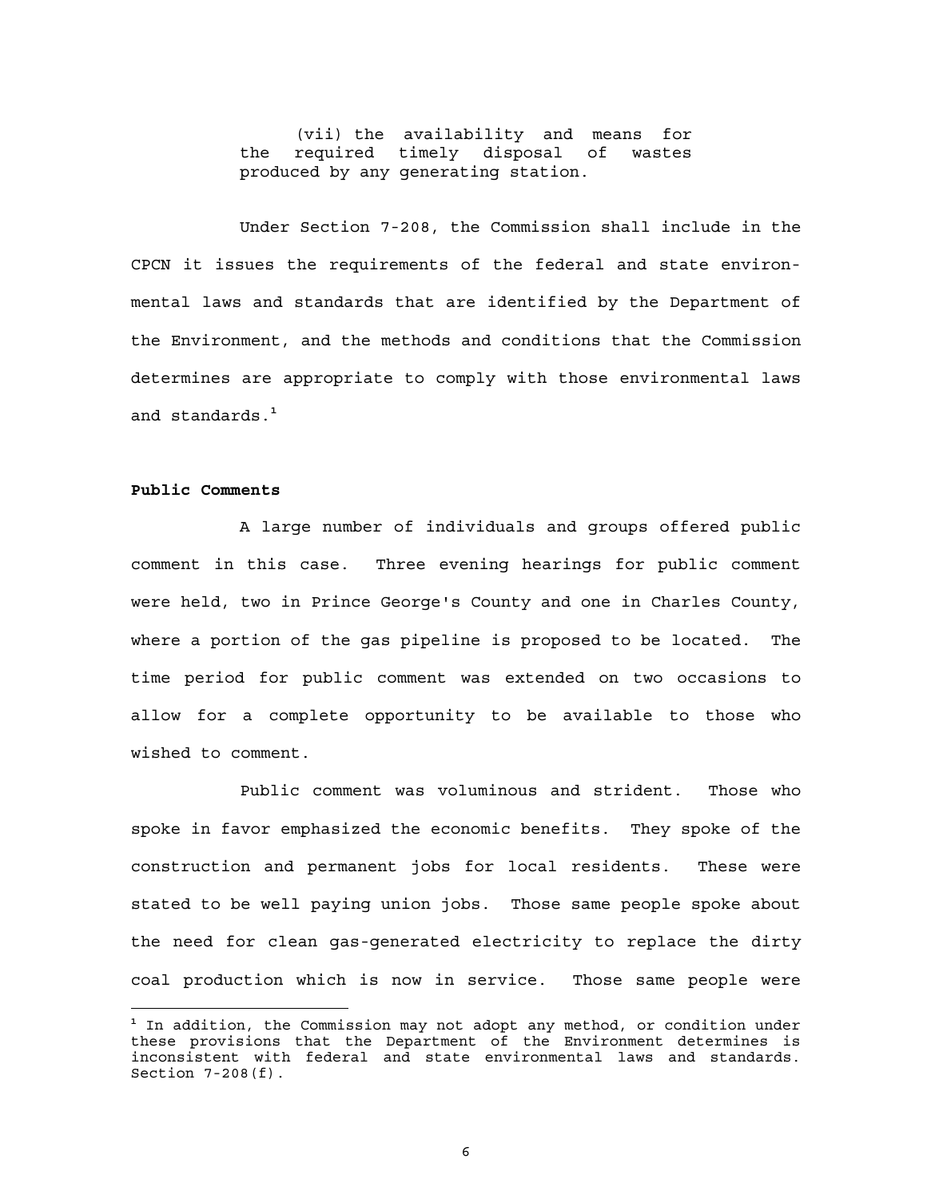(vii) the availability and means for the required timely disposal of wastes produced by any generating station.

Under Section 7-208, the Commission shall include in the CPCN it issues the requirements of the federal and state environmental laws and standards that are identified by the Department of the Environment, and the methods and conditions that the Commission determines are appropriate to comply with those environmental laws and standards.**<sup>1</sup>**

#### **Public Comments**

 $\overline{a}$ 

A large number of individuals and groups offered public comment in this case. Three evening hearings for public comment were held, two in Prince George's County and one in Charles County, where a portion of the gas pipeline is proposed to be located. The time period for public comment was extended on two occasions to allow for a complete opportunity to be available to those who wished to comment.

Public comment was voluminous and strident. Those who spoke in favor emphasized the economic benefits. They spoke of the construction and permanent jobs for local residents. These were stated to be well paying union jobs. Those same people spoke about the need for clean gas-generated electricity to replace the dirty coal production which is now in service. Those same people were

**<sup>1</sup>** In addition, the Commission may not adopt any method, or condition under these provisions that the Department of the Environment determines is inconsistent with federal and state environmental laws and standards. Section 7-208(f).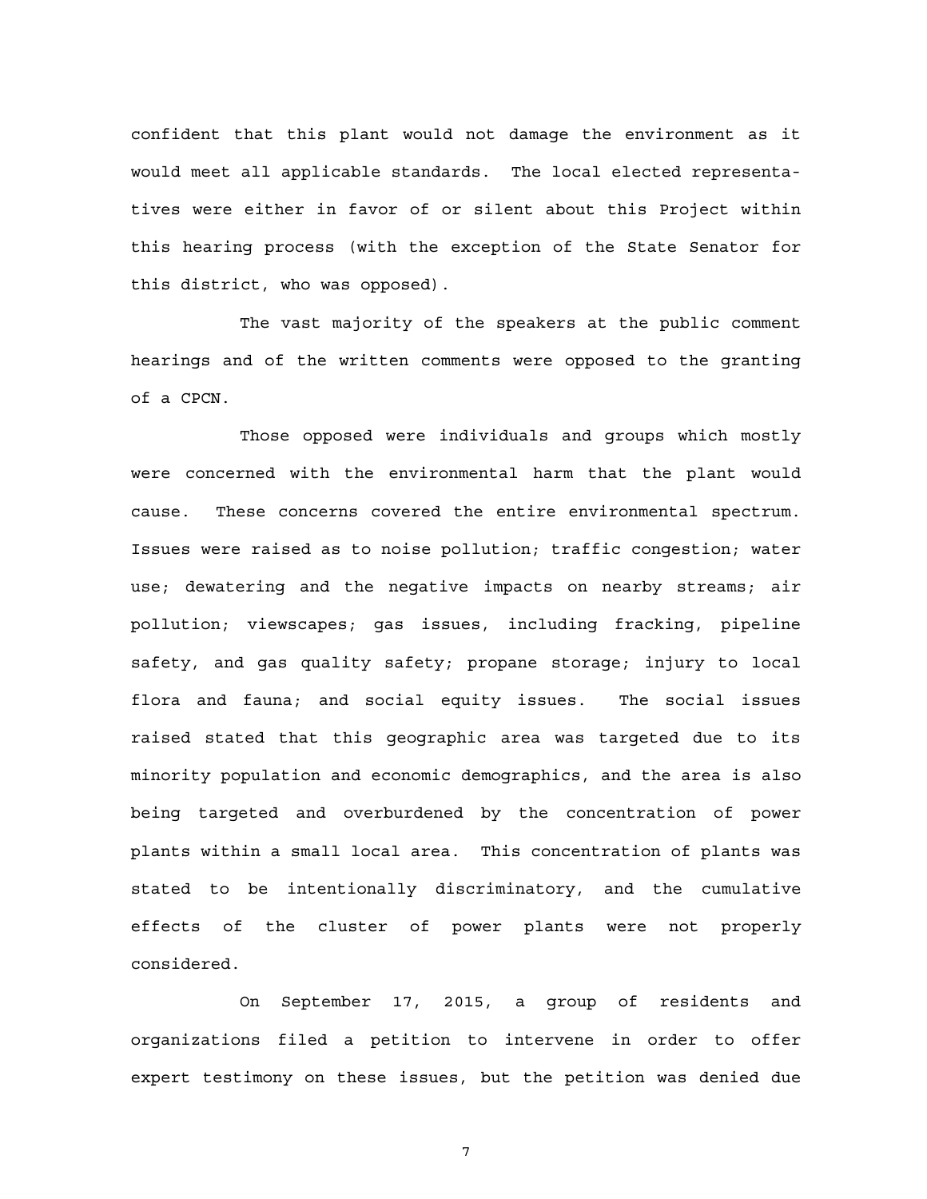confident that this plant would not damage the environment as it would meet all applicable standards. The local elected representatives were either in favor of or silent about this Project within this hearing process (with the exception of the State Senator for this district, who was opposed).

The vast majority of the speakers at the public comment hearings and of the written comments were opposed to the granting of a CPCN.

Those opposed were individuals and groups which mostly were concerned with the environmental harm that the plant would cause. These concerns covered the entire environmental spectrum. Issues were raised as to noise pollution; traffic congestion; water use; dewatering and the negative impacts on nearby streams; air pollution; viewscapes; gas issues, including fracking, pipeline safety, and gas quality safety; propane storage; injury to local flora and fauna; and social equity issues. The social issues raised stated that this geographic area was targeted due to its minority population and economic demographics, and the area is also being targeted and overburdened by the concentration of power plants within a small local area. This concentration of plants was stated to be intentionally discriminatory, and the cumulative effects of the cluster of power plants were not properly considered.

On September 17, 2015, a group of residents and organizations filed a petition to intervene in order to offer expert testimony on these issues, but the petition was denied due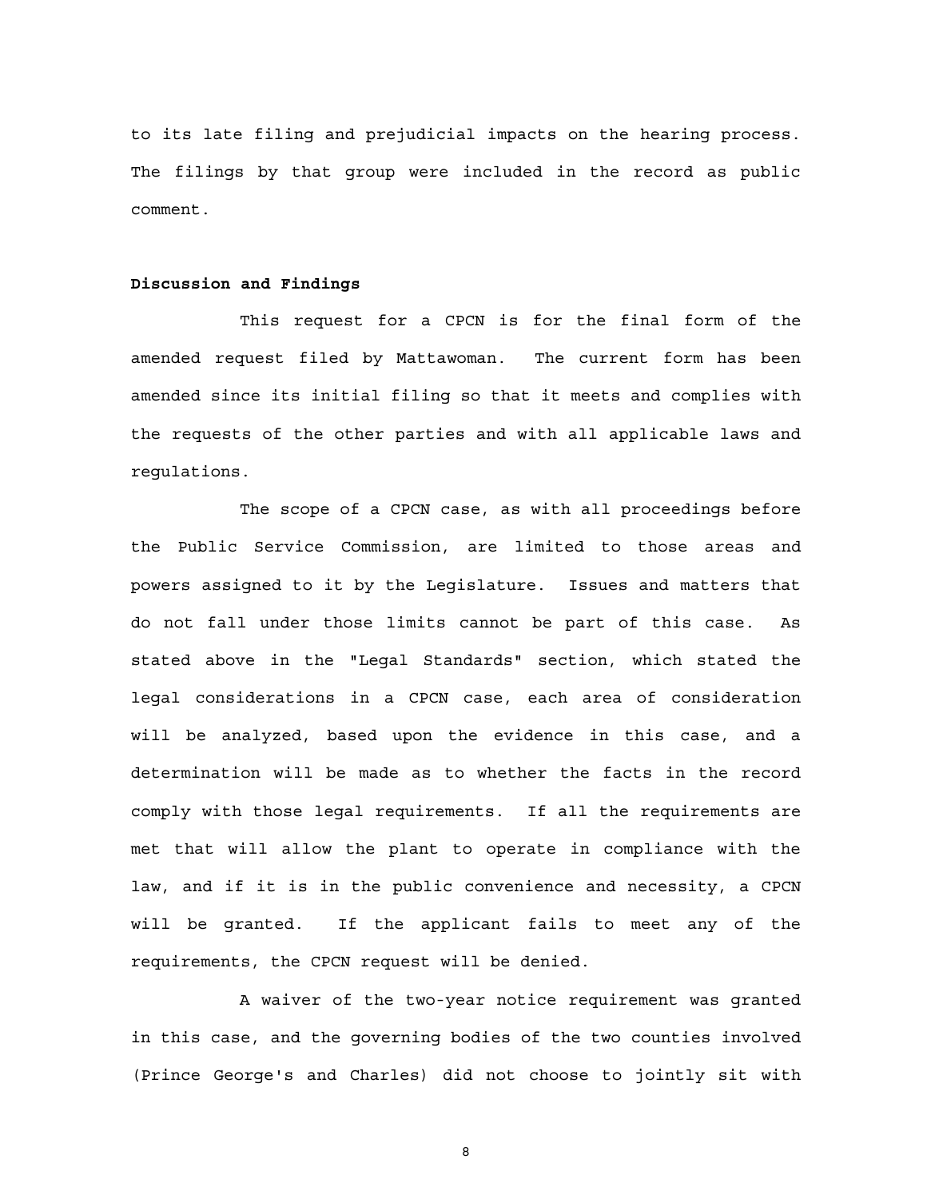to its late filing and prejudicial impacts on the hearing process. The filings by that group were included in the record as public comment.

#### **Discussion and Findings**

This request for a CPCN is for the final form of the amended request filed by Mattawoman. The current form has been amended since its initial filing so that it meets and complies with the requests of the other parties and with all applicable laws and regulations.

The scope of a CPCN case, as with all proceedings before the Public Service Commission, are limited to those areas and powers assigned to it by the Legislature. Issues and matters that do not fall under those limits cannot be part of this case. As stated above in the "Legal Standards" section, which stated the legal considerations in a CPCN case, each area of consideration will be analyzed, based upon the evidence in this case, and a determination will be made as to whether the facts in the record comply with those legal requirements. If all the requirements are met that will allow the plant to operate in compliance with the law, and if it is in the public convenience and necessity, a CPCN will be granted. If the applicant fails to meet any of the requirements, the CPCN request will be denied.

A waiver of the two-year notice requirement was granted in this case, and the governing bodies of the two counties involved (Prince George's and Charles) did not choose to jointly sit with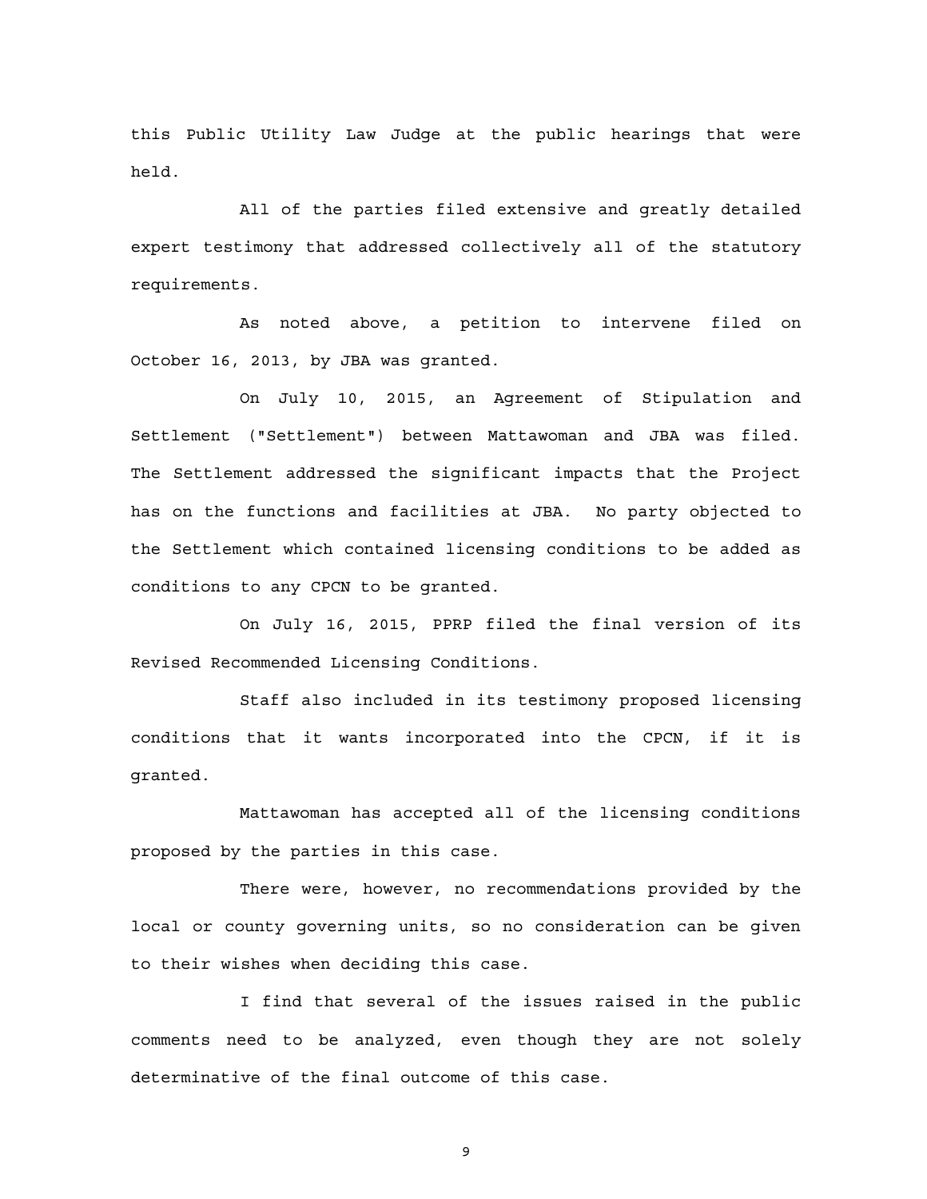this Public Utility Law Judge at the public hearings that were held.

All of the parties filed extensive and greatly detailed expert testimony that addressed collectively all of the statutory requirements.

As noted above, a petition to intervene filed on October 16, 2013, by JBA was granted.

On July 10, 2015, an Agreement of Stipulation and Settlement ("Settlement") between Mattawoman and JBA was filed. The Settlement addressed the significant impacts that the Project has on the functions and facilities at JBA. No party objected to the Settlement which contained licensing conditions to be added as conditions to any CPCN to be granted.

On July 16, 2015, PPRP filed the final version of its Revised Recommended Licensing Conditions.

Staff also included in its testimony proposed licensing conditions that it wants incorporated into the CPCN, if it is granted.

Mattawoman has accepted all of the licensing conditions proposed by the parties in this case.

There were, however, no recommendations provided by the local or county governing units, so no consideration can be given to their wishes when deciding this case.

I find that several of the issues raised in the public comments need to be analyzed, even though they are not solely determinative of the final outcome of this case.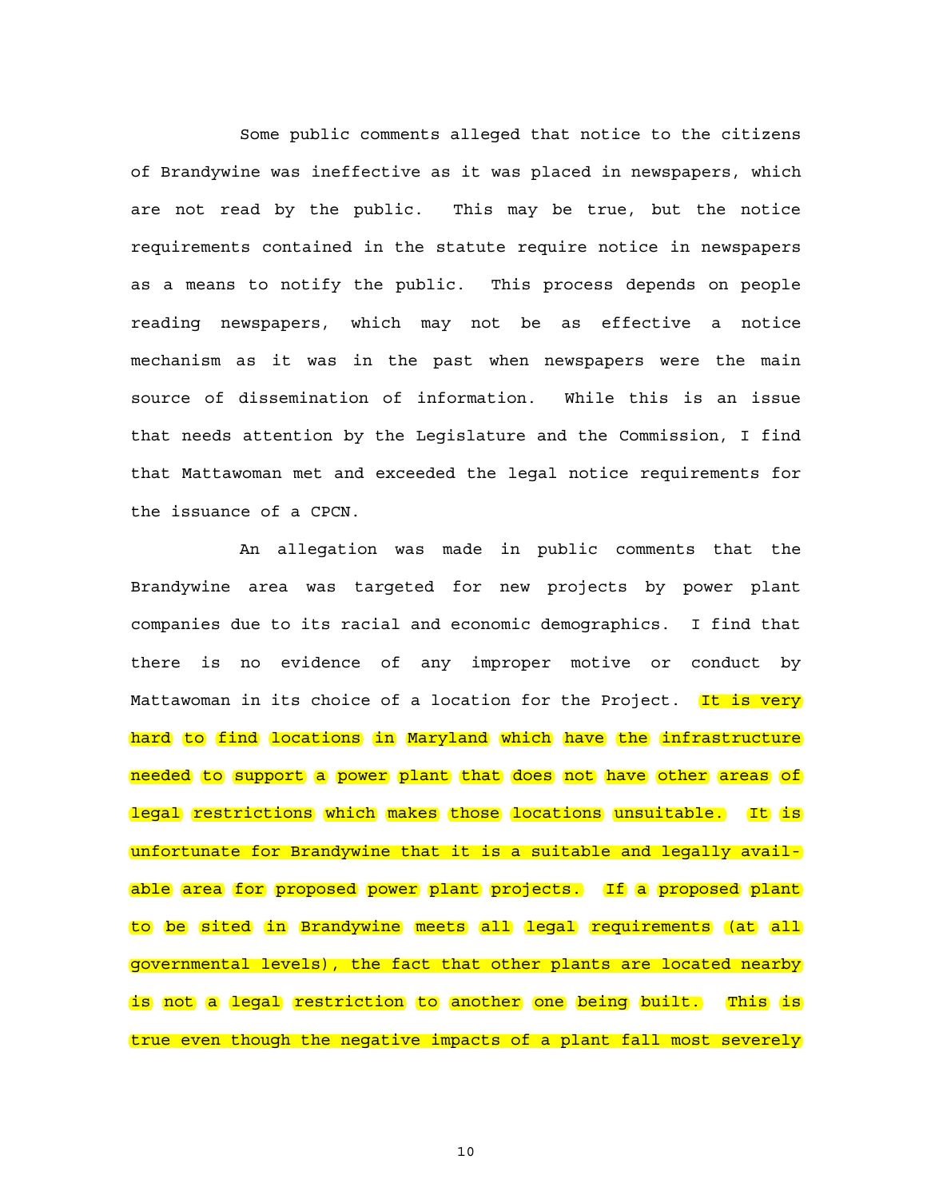Some public comments alleged that notice to the citizens of Brandywine was ineffective as it was placed in newspapers, which are not read by the public. This may be true, but the notice requirements contained in the statute require notice in newspapers as a means to notify the public. This process depends on people reading newspapers, which may not be as effective a notice mechanism as it was in the past when newspapers were the main source of dissemination of information. While this is an issue that needs attention by the Legislature and the Commission, I find that Mattawoman met and exceeded the legal notice requirements for the issuance of a CPCN.

An allegation was made in public comments that the Brandywine area was targeted for new projects by power plant companies due to its racial and economic demographics. I find that there is no evidence of any improper motive or conduct by Mattawoman in its choice of a location for the Project. It is very hard to find locations in Maryland which have the infrastructure needed to support a power plant that does not have other areas of legal restrictions which makes those locations unsuitable. It is unfortunate for Brandywine that it is a suitable and legally available area for proposed power plant projects. If a proposed plant to be sited in Brandywine meets all legal requirements (at all governmental levels), the fact that other plants are located nearby is not a legal restriction to another one being built. This is true even though the negative impacts of a plant fall most severely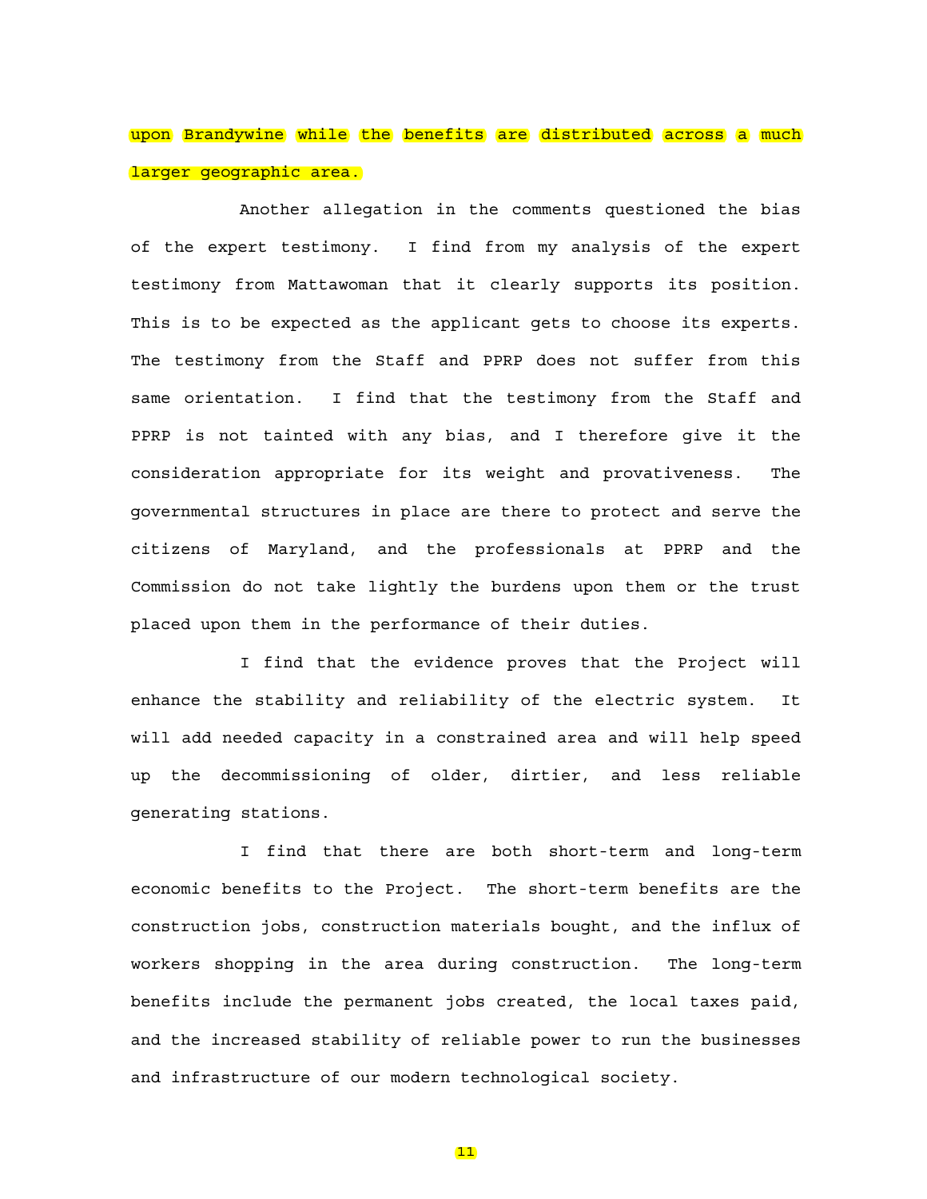# upon Brandywine while the benefits are distributed across a much larger geographic area.

Another allegation in the comments questioned the bias of the expert testimony. I find from my analysis of the expert testimony from Mattawoman that it clearly supports its position. This is to be expected as the applicant gets to choose its experts. The testimony from the Staff and PPRP does not suffer from this same orientation. I find that the testimony from the Staff and PPRP is not tainted with any bias, and I therefore give it the consideration appropriate for its weight and provativeness. The governmental structures in place are there to protect and serve the citizens of Maryland, and the professionals at PPRP and the Commission do not take lightly the burdens upon them or the trust placed upon them in the performance of their duties.

I find that the evidence proves that the Project will enhance the stability and reliability of the electric system. It will add needed capacity in a constrained area and will help speed up the decommissioning of older, dirtier, and less reliable generating stations.

I find that there are both short-term and long-term economic benefits to the Project. The short-term benefits are the construction jobs, construction materials bought, and the influx of workers shopping in the area during construction. The long-term benefits include the permanent jobs created, the local taxes paid, and the increased stability of reliable power to run the businesses and infrastructure of our modern technological society.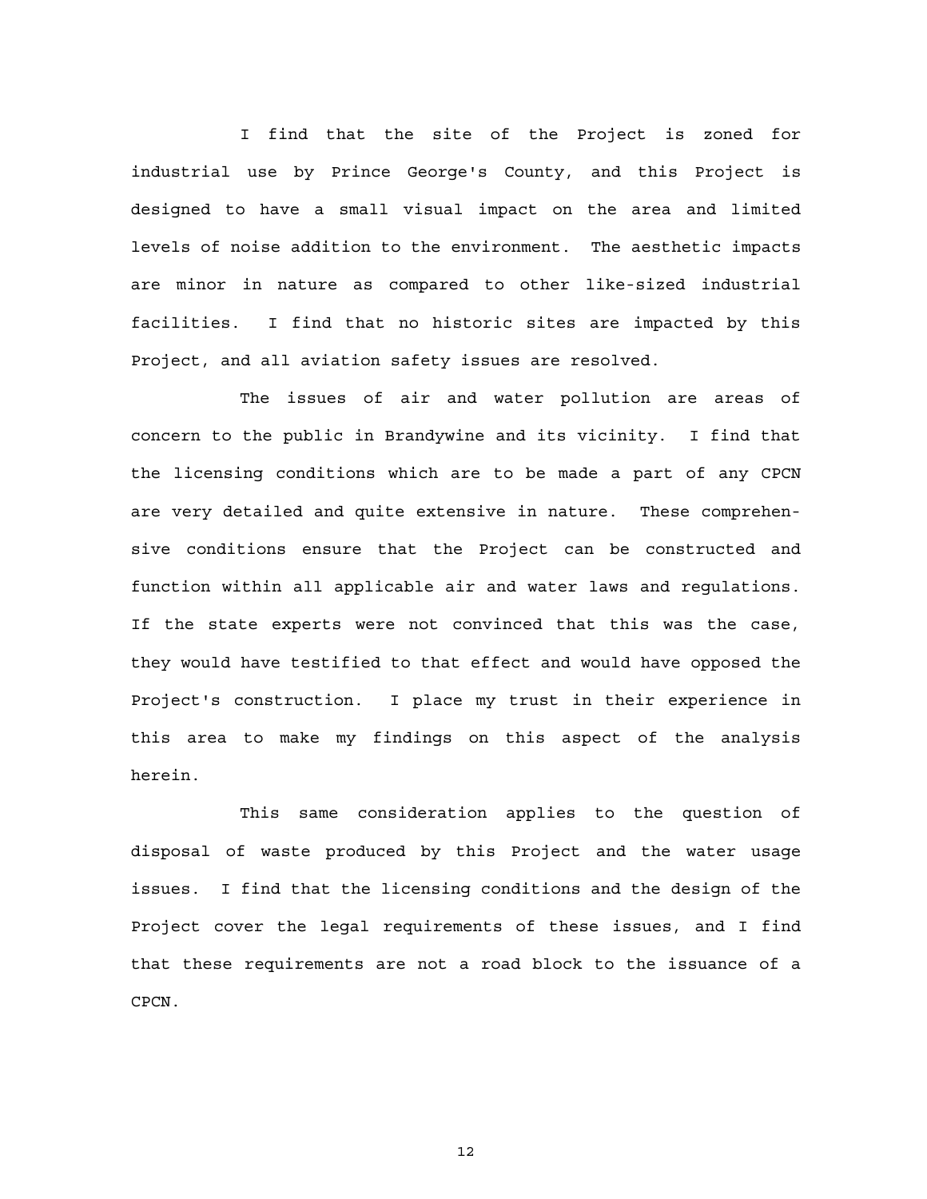I find that the site of the Project is zoned for industrial use by Prince George's County, and this Project is designed to have a small visual impact on the area and limited levels of noise addition to the environment. The aesthetic impacts are minor in nature as compared to other like-sized industrial facilities. I find that no historic sites are impacted by this Project, and all aviation safety issues are resolved.

The issues of air and water pollution are areas of concern to the public in Brandywine and its vicinity. I find that the licensing conditions which are to be made a part of any CPCN are very detailed and quite extensive in nature. These comprehensive conditions ensure that the Project can be constructed and function within all applicable air and water laws and regulations. If the state experts were not convinced that this was the case, they would have testified to that effect and would have opposed the Project's construction. I place my trust in their experience in this area to make my findings on this aspect of the analysis herein.

This same consideration applies to the question of disposal of waste produced by this Project and the water usage issues. I find that the licensing conditions and the design of the Project cover the legal requirements of these issues, and I find that these requirements are not a road block to the issuance of a CPCN.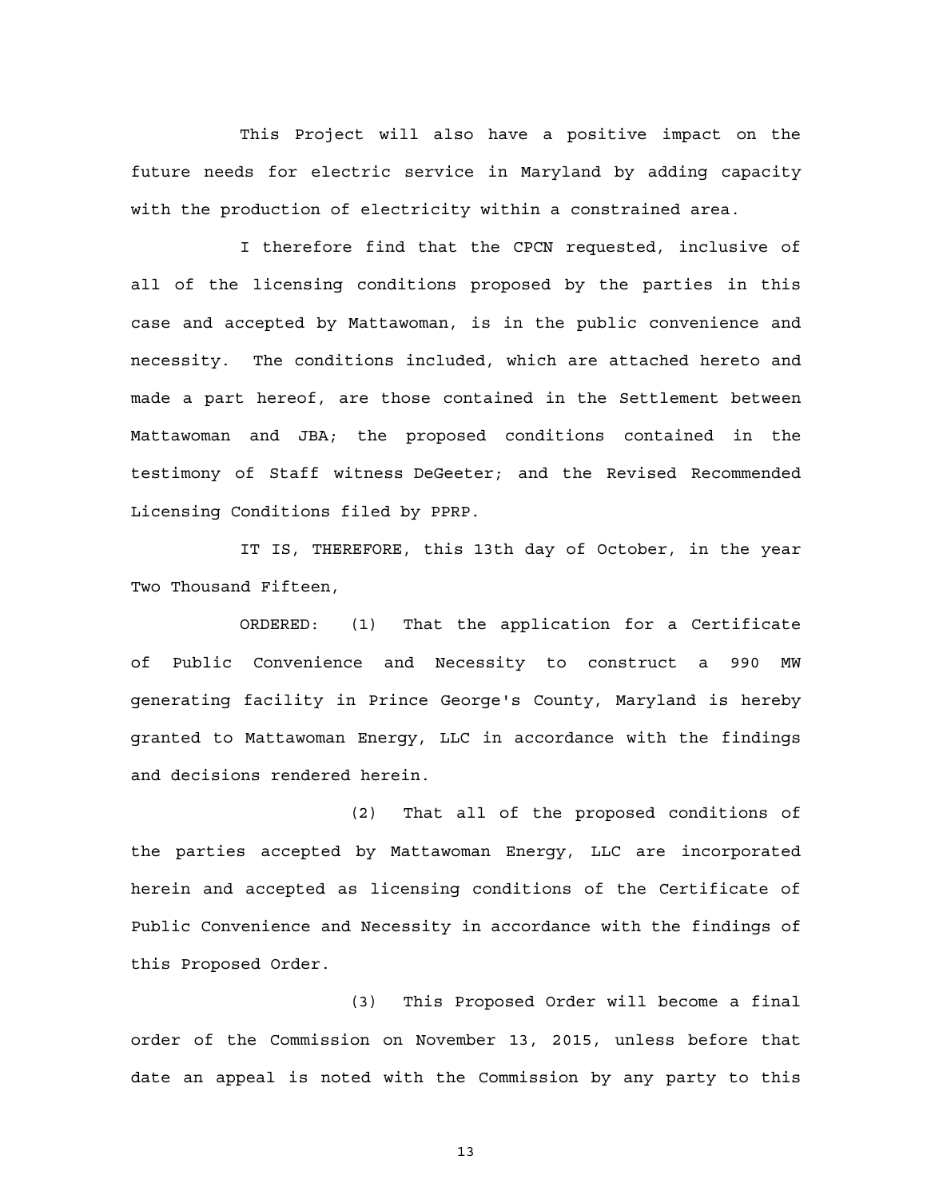This Project will also have a positive impact on the future needs for electric service in Maryland by adding capacity with the production of electricity within a constrained area.

I therefore find that the CPCN requested, inclusive of all of the licensing conditions proposed by the parties in this case and accepted by Mattawoman, is in the public convenience and necessity. The conditions included, which are attached hereto and made a part hereof, are those contained in the Settlement between Mattawoman and JBA; the proposed conditions contained in the testimony of Staff witness DeGeeter; and the Revised Recommended Licensing Conditions filed by PPRP.

IT IS, THEREFORE, this 13th day of October, in the year Two Thousand Fifteen,

ORDERED: (1) That the application for a Certificate of Public Convenience and Necessity to construct a 990 MW generating facility in Prince George's County, Maryland is hereby granted to Mattawoman Energy, LLC in accordance with the findings and decisions rendered herein.

(2) That all of the proposed conditions of the parties accepted by Mattawoman Energy, LLC are incorporated herein and accepted as licensing conditions of the Certificate of Public Convenience and Necessity in accordance with the findings of this Proposed Order.

(3) This Proposed Order will become a final order of the Commission on November 13, 2015, unless before that date an appeal is noted with the Commission by any party to this